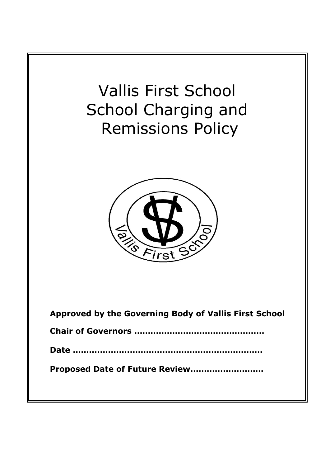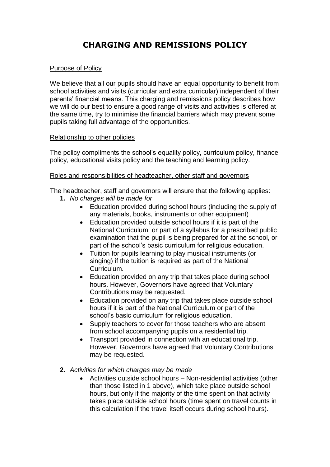# **CHARGING AND REMISSIONS POLICY**

# Purpose of Policy

We believe that all our pupils should have an equal opportunity to benefit from school activities and visits (curricular and extra curricular) independent of their parents' financial means. This charging and remissions policy describes how we will do our best to ensure a good range of visits and activities is offered at the same time, try to minimise the financial barriers which may prevent some pupils taking full advantage of the opportunities.

### Relationship to other policies

The policy compliments the school's equality policy, curriculum policy, finance policy, educational visits policy and the teaching and learning policy.

### Roles and responsibilities of headteacher, other staff and governors

The headteacher, staff and governors will ensure that the following applies:

- **1.** *No charges will be made for*
	- Education provided during school hours (including the supply of any materials, books, instruments or other equipment)
	- Education provided outside school hours if it is part of the National Curriculum, or part of a syllabus for a prescribed public examination that the pupil is being prepared for at the school, or part of the school's basic curriculum for religious education.
	- Tuition for pupils learning to play musical instruments (or singing) if the tuition is required as part of the National Curriculum.
	- Education provided on any trip that takes place during school hours. However, Governors have agreed that Voluntary Contributions may be requested.
	- Education provided on any trip that takes place outside school hours if it is part of the National Curriculum or part of the school's basic curriculum for religious education.
	- Supply teachers to cover for those teachers who are absent from school accompanying pupils on a residential trip.
	- Transport provided in connection with an educational trip. However, Governors have agreed that Voluntary Contributions may be requested.
- **2.** *Activities for which charges may be made*
	- Activities outside school hours Non-residential activities (other than those listed in 1 above), which take place outside school hours, but only if the majority of the time spent on that activity takes place outside school hours (time spent on travel counts in this calculation if the travel itself occurs during school hours).